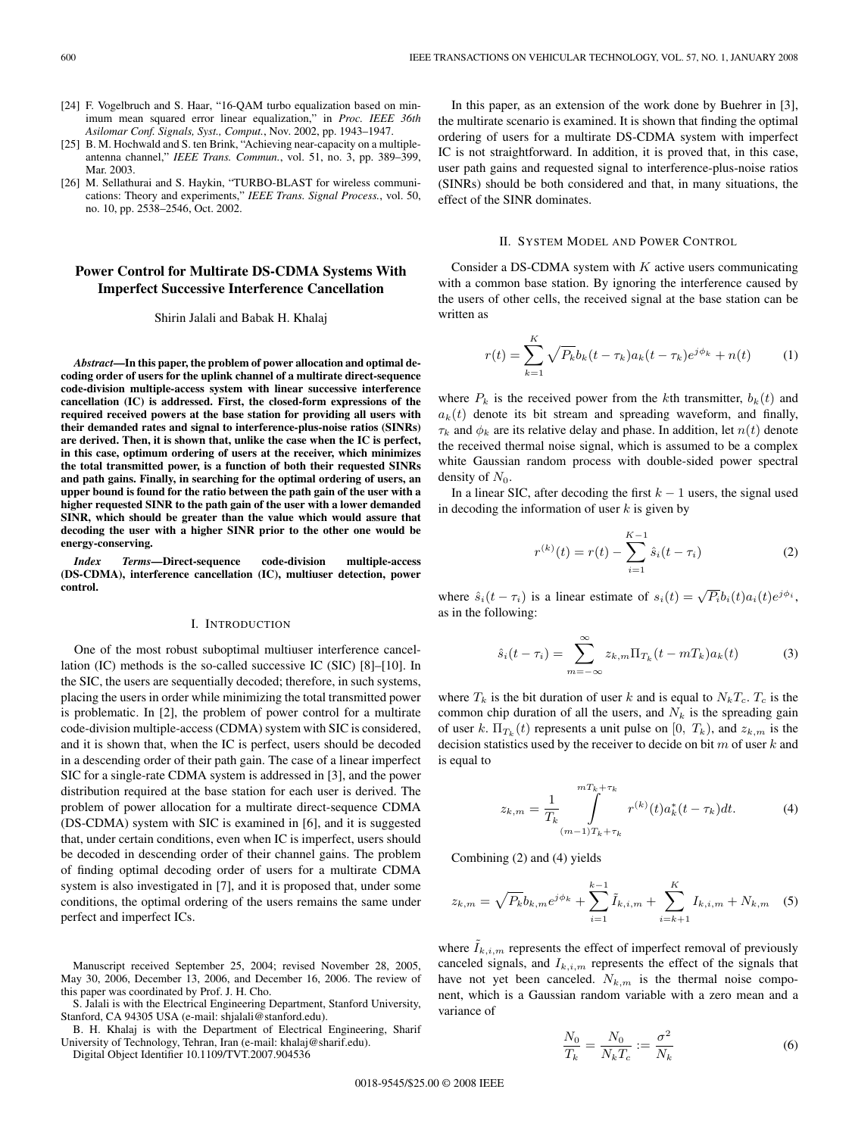- [24] F. Vogelbruch and S. Haar, "16-QAM turbo equalization based on minimum mean squared error linear equalization," in *Proc. IEEE 36th Asilomar Conf. Signals, Syst., Comput.*, Nov. 2002, pp. 1943–1947.
- [25] B. M. Hochwald and S. ten Brink, "Achieving near-capacity on a multipleantenna channel," *IEEE Trans. Commun.*, vol. 51, no. 3, pp. 389–399, Mar. 2003.
- [26] M. Sellathurai and S. Haykin, "TURBO-BLAST for wireless communications: Theory and experiments," *IEEE Trans. Signal Process.*, vol. 50, no. 10, pp. 2538–2546, Oct. 2002.

# **Power Control for Multirate DS-CDMA Systems With Imperfect Successive Interference Cancellation**

Shirin Jalali and Babak H. Khalaj

*Abstract***—In this paper, the problem of power allocation and optimal decoding order of users for the uplink channel of a multirate direct-sequence code-division multiple-access system with linear successive interference cancellation (IC) is addressed. First, the closed-form expressions of the required received powers at the base station for providing all users with their demanded rates and signal to interference-plus-noise ratios (SINRs) are derived. Then, it is shown that, unlike the case when the IC is perfect, in this case, optimum ordering of users at the receiver, which minimizes the total transmitted power, is a function of both their requested SINRs and path gains. Finally, in searching for the optimal ordering of users, an upper bound is found for the ratio between the path gain of the user with a higher requested SINR to the path gain of the user with a lower demanded SINR, which should be greater than the value which would assure that decoding the user with a higher SINR prior to the other one would be energy-conserving.**

*Index Terms***—Direct-sequence code-division multiple-access (DS-CDMA), interference cancellation (IC), multiuser detection, power control.**

## I. INTRODUCTION

One of the most robust suboptimal multiuser interference cancellation (IC) methods is the so-called successive IC (SIC) [8]–[10]. In the SIC, the users are sequentially decoded; therefore, in such systems, placing the users in order while minimizing the total transmitted power is problematic. In [2], the problem of power control for a multirate code-division multiple-access (CDMA) system with SIC is considered, and it is shown that, when the IC is perfect, users should be decoded in a descending order of their path gain. The case of a linear imperfect SIC for a single-rate CDMA system is addressed in [3], and the power distribution required at the base station for each user is derived. The problem of power allocation for a multirate direct-sequence CDMA (DS-CDMA) system with SIC is examined in [6], and it is suggested that, under certain conditions, even when IC is imperfect, users should be decoded in descending order of their channel gains. The problem of finding optimal decoding order of users for a multirate CDMA system is also investigated in [7], and it is proposed that, under some conditions, the optimal ordering of the users remains the same under perfect and imperfect ICs.

Manuscript received September 25, 2004; revised November 28, 2005, May 30, 2006, December 13, 2006, and December 16, 2006. The review of this paper was coordinated by Prof. J. H. Cho.

S. Jalali is with the Electrical Engineering Department, Stanford University, Stanford, CA 94305 USA (e-mail: shjalali@stanford.edu).

B. H. Khalaj is with the Department of Electrical Engineering, Sharif University of Technology, Tehran, Iran (e-mail: khalaj@sharif.edu).

Digital Object Identifier 10.1109/TVT.2007.904536

In this paper, as an extension of the work done by Buehrer in [3], the multirate scenario is examined. It is shown that finding the optimal ordering of users for a multirate DS-CDMA system with imperfect IC is not straightforward. In addition, it is proved that, in this case, user path gains and requested signal to interference-plus-noise ratios (SINRs) should be both considered and that, in many situations, the effect of the SINR dominates.

### II. SYSTEM MODEL AND POWER CONTROL

Consider a DS-CDMA system with  $K$  active users communicating with a common base station. By ignoring the interference caused by the users of other cells, the received signal at the base station can be written as

$$
r(t) = \sum_{k=1}^{K} \sqrt{P_k} b_k (t - \tau_k) a_k (t - \tau_k) e^{j\phi_k} + n(t)
$$
 (1)

where  $P_k$  is the received power from the kth transmitter,  $b_k(t)$  and  $a_k(t)$  denote its bit stream and spreading waveform, and finally,  $\tau_k$  and  $\phi_k$  are its relative delay and phase. In addition, let  $n(t)$  denote the received thermal noise signal, which is assumed to be a complex white Gaussian random process with double-sided power spectral density of  $N_0$ .

In a linear SIC, after decoding the first  $k - 1$  users, the signal used in decoding the information of user  $k$  is given by

$$
r^{(k)}(t) = r(t) - \sum_{i=1}^{K-1} \hat{s}_i(t - \tau_i)
$$
 (2)

where  $\hat{s}_i(t - \tau_i)$  is a linear estimate of  $s_i(t) = \sqrt{P_i} b_i(t) a_i(t) e^{j\phi_i}$ , as in the following:

$$
\hat{s}_i(t-\tau_i) = \sum_{m=-\infty}^{\infty} z_{k,m} \Pi_{T_k}(t-mT_k) a_k(t)
$$
 (3)

where  $T_k$  is the bit duration of user k and is equal to  $N_kT_c$ .  $T_c$  is the common chip duration of all the users, and  $N_k$  is the spreading gain of user k.  $\Pi_{T_k}(t)$  represents a unit pulse on  $[0, T_k)$ , and  $z_{k,m}$  is the decision statistics used by the receiver to decide on bit  $m$  of user  $k$  and is equal to

$$
z_{k,m} = \frac{1}{T_k} \int_{(m-1)T_k + \tau_k}^{mT_k + \tau_k} r^{(k)}(t) a_k^*(t - \tau_k) dt.
$$
 (4)

Combining (2) and (4) yields

$$
z_{k,m} = \sqrt{P_k} b_{k,m} e^{j\phi_k} + \sum_{i=1}^{k-1} \tilde{I}_{k,i,m} + \sum_{i=k+1}^{K} I_{k,i,m} + N_{k,m} \quad (5)
$$

where  $\tilde{I}_{k,i,m}$  represents the effect of imperfect removal of previously canceled signals, and  $I_{k,i,m}$  represents the effect of the signals that have not yet been canceled.  $N_{k,m}$  is the thermal noise component, which is a Gaussian random variable with a zero mean and a variance of

$$
\frac{N_0}{T_k} = \frac{N_0}{N_k T_c} := \frac{\sigma^2}{N_k} \tag{6}
$$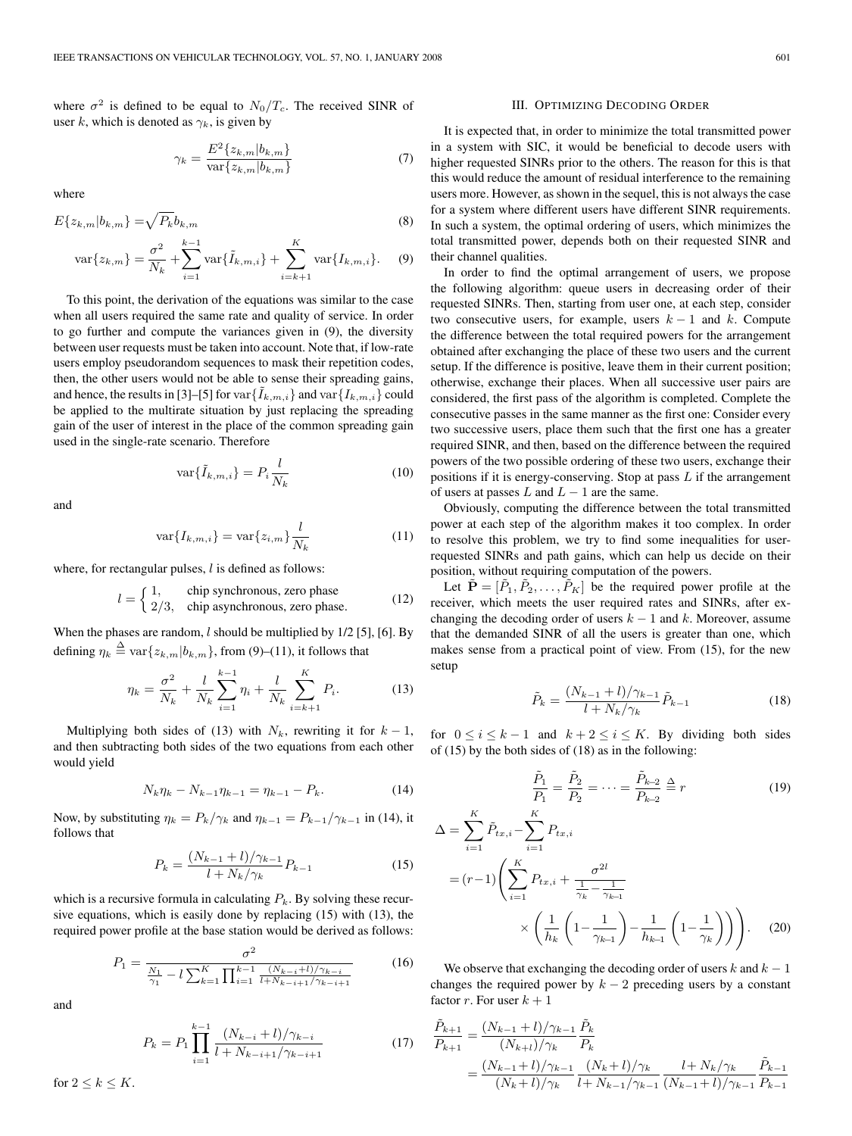where  $\sigma^2$  is defined to be equal to  $N_0/T_c$ . The received SINR of user k, which is denoted as  $\gamma_k$ , is given by

$$
\gamma_k = \frac{E^2\{z_{k,m}|b_{k,m}\}}{\text{var}\{z_{k,m}|b_{k,m}\}}\tag{7}
$$

where

$$
E\{z_{k,m}|b_{k,m}\} = \sqrt{P_k}b_{k,m}
$$
\n<sup>(8)</sup>

$$
\text{var}\{z_{k,m}\} = \frac{\sigma^2}{N_k} + \sum_{i=1}^{k-1} \text{var}\{\tilde{I}_{k,m,i}\} + \sum_{i=k+1}^{K} \text{var}\{I_{k,m,i}\}.
$$
 (9)

To this point, the derivation of the equations was similar to the case when all users required the same rate and quality of service. In order to go further and compute the variances given in (9), the diversity between user requests must be taken into account. Note that, if low-rate users employ pseudorandom sequences to mask their repetition codes, then, the other users would not be able to sense their spreading gains, and hence, the results in [3]–[5] for  $var\{\tilde{I}_{k,m,i}\}$  and  $var\{\tilde{I}_{k,m,i}\}$  could be applied to the multirate situation by just replacing the spreading gain of the user of interest in the place of the common spreading gain used in the single-rate scenario. Therefore

$$
\text{var}\{\tilde{I}_{k,m,i}\} = P_i \frac{l}{N_k} \tag{10}
$$

and

$$
\text{var}\{I_{k,m,i}\} = \text{var}\{z_{i,m}\}\frac{l}{N_k} \tag{11}
$$

where, for rectangular pulses,  $l$  is defined as follows:

$$
l = \begin{cases} 1, & \text{chip synchronous, zero phase} \\ 2/3, & \text{chip asynchronous, zero phase.} \end{cases}
$$
 (12)

When the phases are random,  $l$  should be multiplied by  $1/2$  [5], [6]. By defining  $\eta_k \stackrel{\Delta}{=} \text{var}\{z_{k,m}|b_{k,m}\}$ , from (9)–(11), it follows that

$$
\eta_k = \frac{\sigma^2}{N_k} + \frac{l}{N_k} \sum_{i=1}^{k-1} \eta_i + \frac{l}{N_k} \sum_{i=k+1}^K P_i.
$$
 (13)

Multiplying both sides of (13) with  $N_k$ , rewriting it for  $k - 1$ , and then subtracting both sides of the two equations from each other would yield

$$
N_k \eta_k - N_{k-1} \eta_{k-1} = \eta_{k-1} - P_k. \tag{14}
$$

Now, by substituting  $\eta_k = P_k/\gamma_k$  and  $\eta_{k-1} = P_{k-1}/\gamma_{k-1}$  in (14), it follows that

$$
P_k = \frac{(N_{k-1} + l)/\gamma_{k-1}}{l + N_k/\gamma_k} P_{k-1}
$$
\n(15)

 $\Lambda =$ 

which is a recursive formula in calculating  $P_k$ . By solving these recursive equations, which is easily done by replacing (15) with (13), the required power profile at the base station would be derived as follows:

$$
P_1 = \frac{\sigma^2}{\frac{N_1}{\gamma_1} - l \sum_{k=1}^K \prod_{i=1}^{k-1} \frac{(N_{k-i} + l)/\gamma_{k-i}}{l + N_{k-i+1}/\gamma_{k-i+1}}} \tag{16}
$$

and

$$
P_k = P_1 \prod_{i=1}^{k-1} \frac{(N_{k-i} + l)/\gamma_{k-i}}{l + N_{k-i+1}/\gamma_{k-i+1}}
$$
(17)

for  $2 \leq k \leq K$ .

### III. OPTIMIZING DECODING ORDER

It is expected that, in order to minimize the total transmitted power in a system with SIC, it would be beneficial to decode users with higher requested SINRs prior to the others. The reason for this is that this would reduce the amount of residual interference to the remaining users more. However, as shown in the sequel, this is not always the case for a system where different users have different SINR requirements. In such a system, the optimal ordering of users, which minimizes the total transmitted power, depends both on their requested SINR and their channel qualities.

In order to find the optimal arrangement of users, we propose the following algorithm: queue users in decreasing order of their requested SINRs. Then, starting from user one, at each step, consider two consecutive users, for example, users  $k - 1$  and k. Compute the difference between the total required powers for the arrangement obtained after exchanging the place of these two users and the current setup. If the difference is positive, leave them in their current position; otherwise, exchange their places. When all successive user pairs are considered, the first pass of the algorithm is completed. Complete the consecutive passes in the same manner as the first one: Consider every two successive users, place them such that the first one has a greater required SINR, and then, based on the difference between the required powers of the two possible ordering of these two users, exchange their positions if it is energy-conserving. Stop at pass  $L$  if the arrangement of users at passes L and  $L - 1$  are the same.

Obviously, computing the difference between the total transmitted power at each step of the algorithm makes it too complex. In order to resolve this problem, we try to find some inequalities for userrequested SINRs and path gains, which can help us decide on their position, without requiring computation of the powers.

Let  $\mathbf{\tilde{P}} = [\tilde{P}_1, \tilde{P}_2, \dots, \tilde{P}_K]$  be the required power profile at the receiver, which meets the user required rates and SINRs, after exchanging the decoding order of users  $k - 1$  and k. Moreover, assume that the demanded SINR of all the users is greater than one, which makes sense from a practical point of view. From (15), for the new setup

$$
\tilde{P}_k = \frac{(N_{k-1} + l)/\gamma_{k-1}}{l + N_k/\gamma_k} \tilde{P}_{k-1}
$$
\n(18)

for  $0 \le i \le k - 1$  and  $k + 2 \le i \le K$ . By dividing both sides of (15) by the both sides of (18) as in the following:

$$
\frac{\tilde{P}_1}{P_1} = \frac{\tilde{P}_2}{P_2} = \dots = \frac{\tilde{P}_{k-2}}{P_{k-2}} \stackrel{\Delta}{=} r
$$
\n
$$
= \sum_{i=1}^K \tilde{P}_{tx,i} - \sum_{i=1}^K P_{tx,i}
$$
\n
$$
= (r-1) \left( \sum_{i=1}^K P_{tx,i} + \frac{\sigma^{2l}}{\frac{1}{\gamma_k} - \frac{1}{\gamma_{k-1}}} \right)
$$
\n(19)

$$
\times \left(\frac{1}{h_k}\left(1-\frac{1}{\gamma_{k-1}}\right)-\frac{1}{h_{k-1}}\left(1-\frac{1}{\gamma_k}\right)\right)\right). \quad (20)
$$

We observe that exchanging the decoding order of users  $k$  and  $k - 1$ changes the required power by  $k - 2$  preceding users by a constant factor r. For user  $k + 1$ 

$$
\frac{\tilde{P}_{k+1}}{P_{k+1}} = \frac{(N_{k-1} + l)/\gamma_{k-1}}{(N_{k+l})/\gamma_k} \frac{\tilde{P}_k}{P_k}
$$
\n
$$
= \frac{(N_{k-1} + l)/\gamma_{k-1}}{(N_k + l)/\gamma_k} \frac{(N_k + l)/\gamma_k}{l + N_{k-1}/\gamma_{k-1}} \frac{l + N_k/\gamma_k}{(N_{k-1} + l)/\gamma_{k-1}} \frac{\tilde{P}_{k-1}}{P_{k-1}}
$$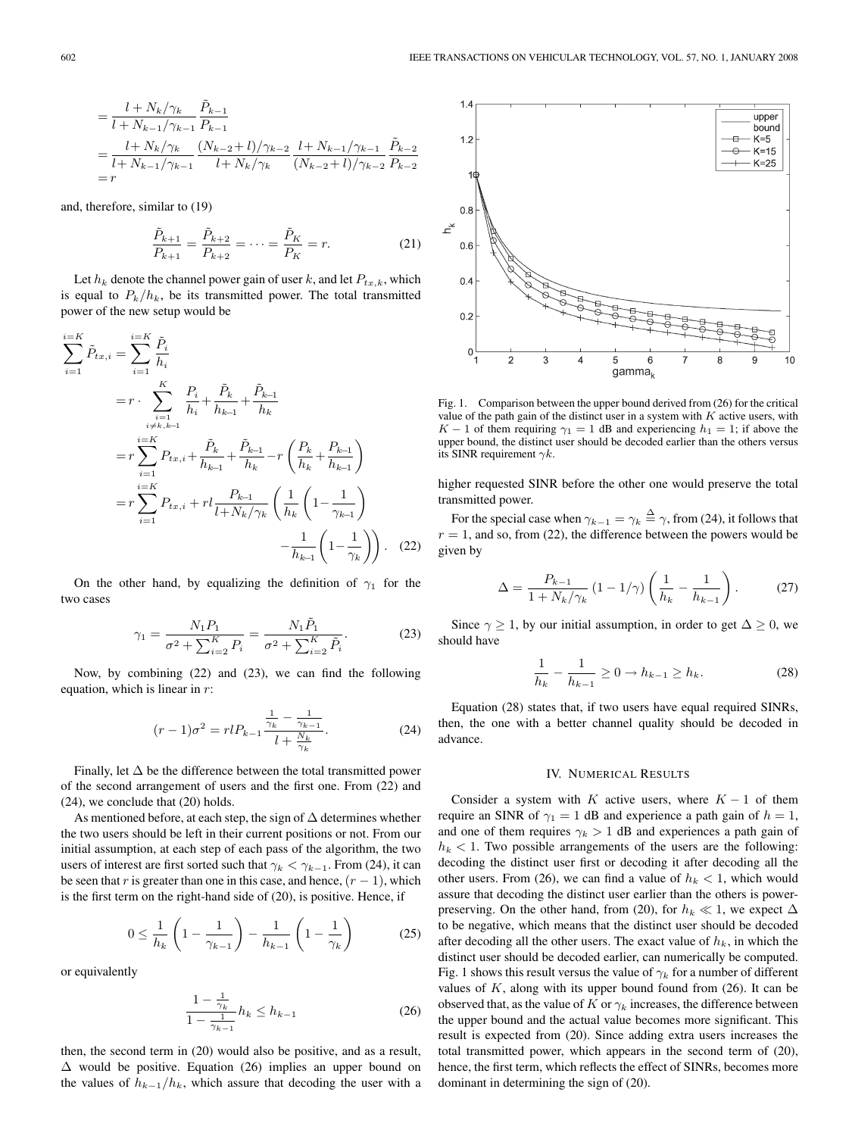$$
= \frac{l + N_k/\gamma_k}{l + N_{k-1}/\gamma_{k-1}} \frac{\tilde{P}_{k-1}}{P_{k-1}}
$$
  
= 
$$
\frac{l + N_k/\gamma_k}{l + N_{k-1}/\gamma_{k-1}} \frac{(N_{k-2} + l)/\gamma_{k-2}}{l + N_k/\gamma_k} \frac{l + N_{k-1}/\gamma_{k-1}}{(N_{k-2} + l)/\gamma_{k-2}} \frac{\tilde{P}_{k-2}}{P_{k-2}}
$$
  
=  $r$ 

and, therefore, similar to (19)

$$
\frac{\tilde{P}_{k+1}}{P_{k+1}} = \frac{\tilde{P}_{k+2}}{P_{k+2}} = \dots = \frac{\tilde{P}_K}{P_K} = r.
$$
 (21)

Let  $h_k$  denote the channel power gain of user k, and let  $P_{tx,k}$ , which is equal to  $P_k/h_k$ , be its transmitted power. The total transmitted power of the new setup would be

$$
\sum_{i=1}^{i=K} \tilde{P}_{tx,i} = \sum_{i=1}^{i=K} \frac{\tilde{P}_i}{h_i}
$$
  
=  $r \cdot \sum_{\substack{i=1 \ i \neq k, k-1}}^{K} \frac{P_i}{h_i} + \frac{\tilde{P}_k}{h_{k-1}} + \frac{\tilde{P}_{k-1}}{h_k}$   
=  $r \sum_{i=1}^{i=K} P_{tx,i} + \frac{\tilde{P}_k}{h_{k-1}} + \frac{\tilde{P}_{k-1}}{h_k} - r \left( \frac{P_k}{h_k} + \frac{P_{k-1}}{h_{k-1}} \right)$   
=  $r \sum_{i=1}^{i=K} P_{tx,i} + r l \frac{P_{k-1}}{l + N_k / \gamma_k} \left( \frac{1}{h_k} \left( 1 - \frac{1}{\gamma_{k-1}} \right) - \frac{1}{h_{k-1}} \left( 1 - \frac{1}{\gamma_k} \right) \right).$  (22)

On the other hand, by equalizing the definition of  $\gamma_1$  for the two cases

$$
\gamma_1 = \frac{N_1 P_1}{\sigma^2 + \sum_{i=2}^K P_i} = \frac{N_1 \tilde{P}_1}{\sigma^2 + \sum_{i=2}^K \tilde{P}_i}.
$$
 (23)

Now, by combining (22) and (23), we can find the following equation, which is linear in  $r$ :

$$
(r-1)\sigma^2 = r l P_{k-1} \frac{\frac{1}{\gamma_k} - \frac{1}{\gamma_{k-1}}}{l + \frac{\gamma_k}{\gamma_k}}.
$$
 (24)

Finally, let  $\Delta$  be the difference between the total transmitted power of the second arrangement of users and the first one. From (22) and (24), we conclude that (20) holds.

As mentioned before, at each step, the sign of  $\Delta$  determines whether the two users should be left in their current positions or not. From our initial assumption, at each step of each pass of the algorithm, the two users of interest are first sorted such that  $\gamma_k < \gamma_{k-1}$ . From (24), it can be seen that r is greater than one in this case, and hence,  $(r - 1)$ , which is the first term on the right-hand side of (20), is positive. Hence, if

$$
0 \le \frac{1}{h_k} \left( 1 - \frac{1}{\gamma_{k-1}} \right) - \frac{1}{h_{k-1}} \left( 1 - \frac{1}{\gamma_k} \right) \tag{25}
$$

or equivalently

$$
\frac{1 - \frac{1}{\gamma_k}}{1 - \frac{1}{\gamma_{k-1}}} h_k \le h_{k-1}
$$
 (26)

then, the second term in (20) would also be positive, and as a result,  $\Delta$  would be positive. Equation (26) implies an upper bound on the values of  $h_{k-1}/h_k$ , which assure that decoding the user with a



Fig. 1. Comparison between the upper bound derived from (26) for the critical value of the path gain of the distinct user in a system with  $K$  active users, with K − 1 of them requiring  $\gamma_1 = 1$  dB and experiencing  $h_1 = 1$ ; if above the upper bound, the distinct user should be decoded earlier than the others versus its SINR requirement  $\gamma k$ .

higher requested SINR before the other one would preserve the total transmitted power.

For the special case when  $\gamma_{k-1} = \gamma_k \stackrel{\Delta}{=} \gamma$ , from (24), it follows that  $r = 1$ , and so, from (22), the difference between the powers would be given by

$$
\Delta = \frac{P_{k-1}}{1 + N_k / \gamma_k} (1 - 1/\gamma) \left( \frac{1}{h_k} - \frac{1}{h_{k-1}} \right).
$$
 (27)

Since  $\gamma > 1$ , by our initial assumption, in order to get  $\Delta > 0$ , we should have

$$
\frac{1}{h_k} - \frac{1}{h_{k-1}} \ge 0 \to h_{k-1} \ge h_k.
$$
 (28)

Equation (28) states that, if two users have equal required SINRs, then, the one with a better channel quality should be decoded in advance.

# IV. NUMERICAL RESULTS

Consider a system with K active users, where  $K - 1$  of them require an SINR of  $\gamma_1 = 1$  dB and experience a path gain of  $h = 1$ , and one of them requires  $\gamma_k > 1$  dB and experiences a path gain of  $h_k$  < 1. Two possible arrangements of the users are the following: decoding the distinct user first or decoding it after decoding all the other users. From (26), we can find a value of  $h_k < 1$ , which would assure that decoding the distinct user earlier than the others is powerpreserving. On the other hand, from (20), for  $h_k \ll 1$ , we expect  $\Delta$ to be negative, which means that the distinct user should be decoded after decoding all the other users. The exact value of  $h_k$ , in which the distinct user should be decoded earlier, can numerically be computed. Fig. 1 shows this result versus the value of  $\gamma_k$  for a number of different values of  $K$ , along with its upper bound found from  $(26)$ . It can be observed that, as the value of K or  $\gamma_k$  increases, the difference between the upper bound and the actual value becomes more significant. This result is expected from (20). Since adding extra users increases the total transmitted power, which appears in the second term of (20), hence, the first term, which reflects the effect of SINRs, becomes more dominant in determining the sign of (20).